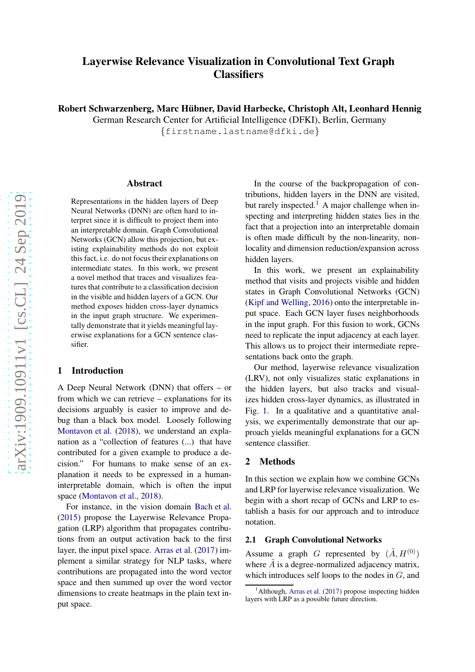# Layerwise Relevance Visualization in Convolutional Text Graph **Classifiers**

Robert Schwarzenberg, Marc Hubner, David Harbecke, Christoph Alt, Leonhard Hennig ¨

German Research Center for Artificial Intelligence (DFKI), Berlin, Germany

{firstname.lastname@dfki.de}

#### Abstract

Representations in the hidden layers of Deep Neural Networks (DNN) are often hard to interpret since it is difficult to project them into an interpretable domain. Graph Convolutional Networks (GCN) allow this projection, but existing explainability methods do not exploit this fact, i.e. do not focus their explanations on intermediate states. In this work, we present a novel method that traces and visualizes features that contribute to a classification decision in the visible and hidden layers of a GCN. Our method exposes hidden cross-layer dynamics in the input graph structure. We experimentally demonstrate that it yields meaningful layerwise explanations for a GCN sentence classifier.

## 1 Introduction

A Deep Neural Network (DNN) that offers – or from which we can retrieve – explanations for its decisions arguably is easier to improve and debug than a black box model. Loosely following [Montavon et al.](#page-4-0) [\(2018\)](#page-4-0), we understand an explanation as a "collection of features (...) that have contributed for a given example to produce a decision." For humans to make sense of an explanation it needs to be expressed in a humaninterpretable domain, which is often the input space [\(Montavon et al.](#page-4-0) , [2018](#page-4-0)).

For instance, in the vision domain [Bach et al.](#page-4-1) [\(2015](#page-4-1)) propose the Layerwise Relevance Propagation (LRP) algorithm that propagates contributions from an output activation back to the first layer, the input pixel space. [Arras et al.](#page-4-2) [\(2017](#page-4-2)) implement a similar strategy for NLP tasks, where contributions are propagated into the word vector space and then summed up over the word vector dimensions to create heatmaps in the plain text input space.

In the course of the backpropagation of contributions, hidden layers in the DNN are visited, but rarely inspected.<sup>[1](#page-0-0)</sup> A major challenge when inspecting and interpreting hidden states lies in the fact that a projection into an interpretable domain is often made difficult by the non-linearity, nonlocality and dimension reduction/expansion across hidden layers.

In this work, we present an explainability method that visits and projects visible and hidden states in Graph Convolutional Networks (GCN) [\(Kipf and Welling](#page-4-3), [2016](#page-4-3)) onto the interpretable input space. Each GCN layer fuses neighborhoods in the input graph. For this fusion to work, GCNs need to replicate the input adjacency at each layer. This allows us to project their intermediate representations back onto the graph.

Our method, layerwise relevance visualization (LRV), not only visualizes static explanations in the hidden layers, but also tracks and visualizes hidden cross-layer dynamics, as illustrated in Fig. [1.](#page-1-0) In a qualitative and a quantitative analysis, we experimentally demonstrate that our approach yields meaningful explanations for a GCN sentence classifier.

## 2 Methods

In this section we explain how we combine GCNs and LRP for layerwise relevance visualization. We begin with a short recap of GCNs and LRP to establish a basis for our approach and to introduce notation.

## 2.1 Graph Convolutional Networks

Assume a graph G represented by  $(\tilde{A}, H^{(0)})$ where  $\tilde{A}$  is a degree-normalized adjacency matrix, which introduces self loops to the nodes in  $G$ , and

<span id="page-0-0"></span><sup>&</sup>lt;sup>1</sup>Although, [Arras et al.](#page-4-2) [\(2017](#page-4-2)) propose inspecting hidden layers with LRP as a possible future direction.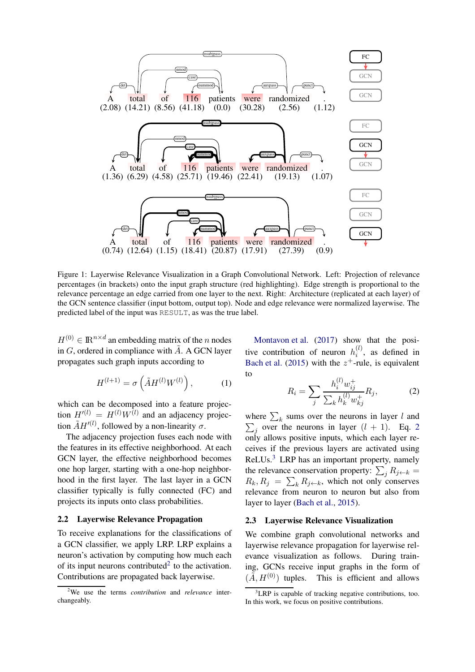<span id="page-1-0"></span>

Figure 1: Layerwise Relevance Visualization in a Graph Convolutional Network. Left: Projection of relevance percentages (in brackets) onto the input graph structure (red highlighting). Edge strength is proportional to the relevance percentage an edge carried from one layer to the next. Right: Architecture (replicated at each layer) of the GCN sentence classifier (input bottom, output top). Node and edge relevance were normalized layerwise. The predicted label of the input was RESULT, as was the true label.

 $H^{(0)} \in \mathbb{R}^{n \times d}$  an embedding matrix of the *n* nodes in G, ordered in compliance with  $\tilde{A}$ . A GCN layer propagates such graph inputs according to

$$
H^{(l+1)} = \sigma\left(\tilde{A}H^{(l)}W^{(l)}\right),\tag{1}
$$

which can be decomposed into a feature projection  $H^{\prime (l)} = H^{(l)} W^{(l)}$  and an adjacency projection  $\tilde{A}H^{\prime (l)}$ , followed by a non-linearity  $\sigma$ .

The adjacency projection fuses each node with the features in its effective neighborhood. At each GCN layer, the effective neighborhood becomes one hop larger, starting with a one-hop neighborhood in the first layer. The last layer in a GCN classifier typically is fully connected (FC) and projects its inputs onto class probabilities.

### 2.2 Layerwise Relevance Propagation

To receive explanations for the classifications of a GCN classifier, we apply LRP. LRP explains a neuron's activation by computing how much each of its input neurons contributed<sup>[2](#page-1-1)</sup> to the activation. Contributions are propagated back layerwise.

[Montavon et al.](#page-4-4) [\(2017](#page-4-4)) show that the positive contribution of neuron  $h_i^{(l)}$  $i^{(i)}$ , as defined in [Bach et al.](#page-4-1) [\(2015](#page-4-1)) with the  $z^+$ -rule, is equivalent to  $\langle \overline{I} \rangle$ 

<span id="page-1-2"></span>
$$
R_i = \sum_j \frac{h_i^{(l)} w_{ij}^+}{\sum_k h_k^{(l)} w_{kj}^+} R_j, \tag{2}
$$

where  $\sum_k$  sums over the neurons in layer l and  $\sum_j$  over the neurons in layer  $(l + 1)$ . Eq. [2](#page-1-2) only allows positive inputs, which each layer receives if the previous layers are activated using ReLUs.<sup>[3](#page-1-3)</sup> LRP has an important property, namely the relevance conservation property:  $\sum_j R_{j \leftarrow k} =$  $R_k, R_j = \sum_k R_{j \leftarrow k}$ , which not only conserves relevance from neuron to neuron but also from layer to layer [\(Bach et al.](#page-4-1), [2015\)](#page-4-1).

#### <span id="page-1-4"></span>2.3 Layerwise Relevance Visualization

We combine graph convolutional networks and layerwise relevance propagation for layerwise relevance visualization as follows. During training, GCNs receive input graphs in the form of  $(\tilde{A}, H^{(0)})$  tuples. This is efficient and allows

<span id="page-1-1"></span><sup>2</sup>We use the terms *contribution* and *relevance* interchangeably.

<span id="page-1-3"></span><sup>&</sup>lt;sup>3</sup>LRP is capable of tracking negative contributions, too. In this work, we focus on positive contributions.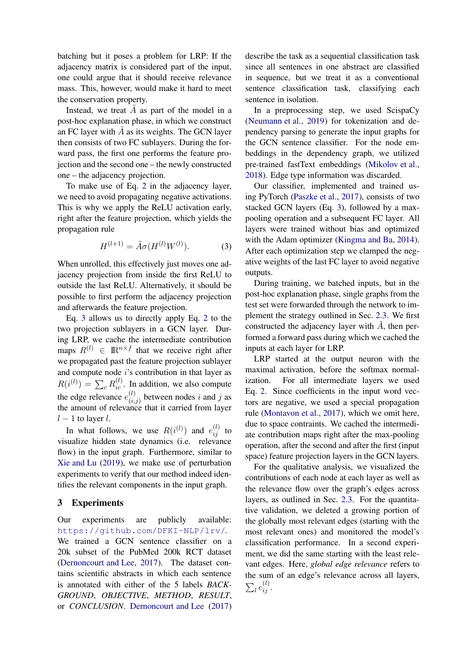batching but it poses a problem for LRP: If the adjacency matrix is considered part of the input, one could argue that it should receive relevance mass. This, however, would make it hard to meet the conservation property.

Instead, we treat  $\overline{A}$  as part of the model in a post-hoc explanation phase, in which we construct an FC layer with  $A$  as its weights. The GCN layer then consists of two FC sublayers. During the forward pass, the first one performs the feature projection and the second one – the newly constructed one – the adjacency projection.

To make use of Eq. [2](#page-1-2) in the adjacency layer, we need to avoid propagating negative activations. This is why we apply the ReLU activation early, right after the feature projection, which yields the propagation rule

<span id="page-2-0"></span>
$$
H^{(l+1)} = \tilde{A}\sigma(H^{(l)}W^{(l)}).
$$
 (3)

When unrolled, this effectively just moves one adjacency projection from inside the first ReLU to outside the last ReLU. Alternatively, it should be possible to first perform the adjacency projection and afterwards the feature projection.

Eq. [3](#page-2-0) allows us to directly apply Eq. [2](#page-1-2) to the two projection sublayers in a GCN layer. During LRP, we cache the intermediate contribution maps  $R^{(l)} \in \mathbb{R}^{n \times f}$  that we receive right after we propagated past the feature projection sublayer and compute node  $i$ 's contribution in that layer as  $R(i^{(l)}) = \sum_c R_{ic}^{(l)}$ . In addition, we also compute the edge relevance  $e_{ij}^{(l)}$  $\binom{v}{i,j}$  between nodes i and j as the amount of relevance that it carried from layer  $l - 1$  to layer l.

In what follows, we use  $R(i^{(l)})$  and  $e_{ij}^{(l)}$  to visualize hidden state dynamics (i.e. relevance flow) in the input graph. Furthermore, similar to [Xie and Lu](#page-4-5) [\(2019](#page-4-5)), we make use of perturbation experiments to verify that our method indeed identifies the relevant components in the input graph.

## <span id="page-2-1"></span>3 Experiments

Our experiments are publicly available: <https://github.com/DFKI-NLP/lrv/>. We trained a GCN sentence classifier on a 20k subset of the PubMed 200k RCT dataset [\(Dernoncourt and Lee](#page-4-6), [2017\)](#page-4-6). The dataset contains scientific abstracts in which each sentence is annotated with either of the 5 labels *BACK-GROUND*, *OBJECTIVE*, *METHOD*, *RESULT*, or *CONCLUSION*. [Dernoncourt and Lee](#page-4-6) [\(2017](#page-4-6)) describe the task as a sequential classification task since all sentences in one abstract are classified in sequence, but we treat it as a conventional sentence classification task, classifying each sentence in isolation.

In a preprocessing step, we used ScispaCy [\(Neumann et al.](#page-4-7), [2019](#page-4-7)) for tokenization and dependency parsing to generate the input graphs for the GCN sentence classifier. For the node embeddings in the dependency graph, we utilized pre-trained fastText embeddings [\(Mikolov et al.,](#page-4-8) [2018](#page-4-8)). Edge type information was discarded.

Our classifier, implemented and trained using PyTorch [\(Paszke et al.,](#page-4-9) [2017](#page-4-9)), consists of two stacked GCN layers (Eq. [3\)](#page-2-0), followed by a maxpooling operation and a subsequent FC layer. All layers were trained without bias and optimized with the Adam optimizer [\(Kingma and Ba,](#page-4-10) [2014](#page-4-10)). After each optimization step we clamped the negative weights of the last FC layer to avoid negative outputs.

During training, we batched inputs, but in the post-hoc explanation phase, single graphs from the test set were forwarded through the network to implement the strategy outlined in Sec. [2.3.](#page-1-4) We first constructed the adjacency layer with  $\tilde{A}$ , then performed a forward pass during which we cached the inputs at each layer for LRP.

LRP started at the output neuron with the maximal activation, before the softmax normalization. For all intermediate layers we used Eq. [2.](#page-1-2) Since coefficients in the input word vectors are negative, we used a special propagation rule [\(Montavon et al.](#page-4-4), [2017](#page-4-4)), which we omit here, due to space contraints. We cached the intermediate contribution maps right after the max-pooling operation, after the second and after the first (input space) feature projection layers in the GCN layers.

For the qualitative analysis, we visualized the contributions of each node at each layer as well as the relevance flow over the graph's edges across layers, as outlined in Sec. [2.3.](#page-1-4) For the quantitative validation, we deleted a growing portion of the globally most relevant edges (starting with the most relevant ones) and monitored the model's classification performance. In a second experiment, we did the same starting with the least relevant edges. Here, *global edge relevance* refers to the sum of an edge's relevance across all layers,  $\sum_l e_{ij}^{(l)}$ .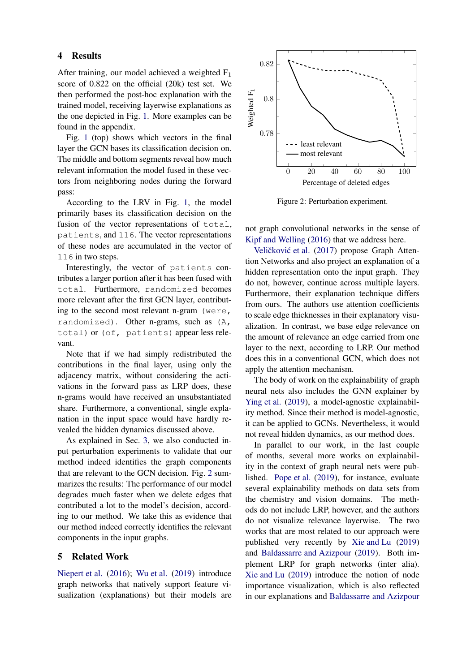## 4 Results

After training, our model achieved a weighted  $F_1$ score of 0.822 on the official (20k) test set. We then performed the post-hoc explanation with the trained model, receiving layerwise explanations as the one depicted in Fig. [1.](#page-1-0) More examples can be found in the appendix.

Fig. [1](#page-1-0) (top) shows which vectors in the final layer the GCN bases its classification decision on. The middle and bottom segments reveal how much relevant information the model fused in these vectors from neighboring nodes during the forward pass:

According to the LRV in Fig. [1,](#page-1-0) the model primarily bases its classification decision on the fusion of the vector representations of total, patients, and 116. The vector representations of these nodes are accumulated in the vector of 116 in two steps.

Interestingly, the vector of patients contributes a larger portion after it has been fused with total. Furthermore, randomized becomes more relevant after the first GCN layer, contributing to the second most relevant n-gram (were, randomized). Other n-grams, such as (A, total) or (of, patients) appear less relevant.

Note that if we had simply redistributed the contributions in the final layer, using only the adjacency matrix, without considering the activations in the forward pass as LRP does, these n-grams would have received an unsubstantiated share. Furthermore, a conventional, single explanation in the input space would have hardly revealed the hidden dynamics discussed above.

As explained in Sec. [3,](#page-2-1) we also conducted input perturbation experiments to validate that our method indeed identifies the graph components that are relevant to the GCN decision. Fig. [2](#page-3-0) summarizes the results: The performance of our model degrades much faster when we delete edges that contributed a lot to the model's decision, according to our method. We take this as evidence that our method indeed correctly identifies the relevant components in the input graphs.

## 5 Related Work

[Niepert et al.](#page-4-11) [\(2016](#page-4-11)); [Wu et al.](#page-4-12) [\(2019](#page-4-12)) introduce graph networks that natively support feature visualization (explanations) but their models are

<span id="page-3-0"></span>

Figure 2: Perturbation experiment.

not graph convolutional networks in the sense of [Kipf and Welling](#page-4-3) [\(2016\)](#page-4-3) that we address here.

Veličković et al. [\(2017](#page-4-13)) propose Graph Attention Networks and also project an explanation of a hidden representation onto the input graph. They do not, however, continue across multiple layers. Furthermore, their explanation technique differs from ours. The authors use attention coefficients to scale edge thicknesses in their explanatory visualization. In contrast, we base edge relevance on the amount of relevance an edge carried from one layer to the next, according to LRP. Our method does this in a conventional GCN, which does not apply the attention mechanism.

The body of work on the explainability of graph neural nets also includes the GNN explainer by [Ying et al.](#page-4-14) [\(2019](#page-4-14)), a model-agnostic explainability method. Since their method is model-agnostic, it can be applied to GCNs. Nevertheless, it would not reveal hidden dynamics, as our method does.

In parallel to our work, in the last couple of months, several more works on explainability in the context of graph neural nets were published. [Pope et al.](#page-4-15) [\(2019](#page-4-15)), for instance, evaluate several explainability methods on data sets from the chemistry and vision domains. The methods do not include LRP, however, and the authors do not visualize relevance layerwise. The two works that are most related to our approach were published very recently by [Xie and Lu](#page-4-5) [\(2019\)](#page-4-5) and [Baldassarre and Azizpour](#page-4-16) [\(2019](#page-4-16)). Both implement LRP for graph networks (inter alia). [Xie and Lu](#page-4-5) [\(2019](#page-4-5)) introduce the notion of node importance visualization, which is also reflected in our explanations and [Baldassarre and Azizpour](#page-4-16)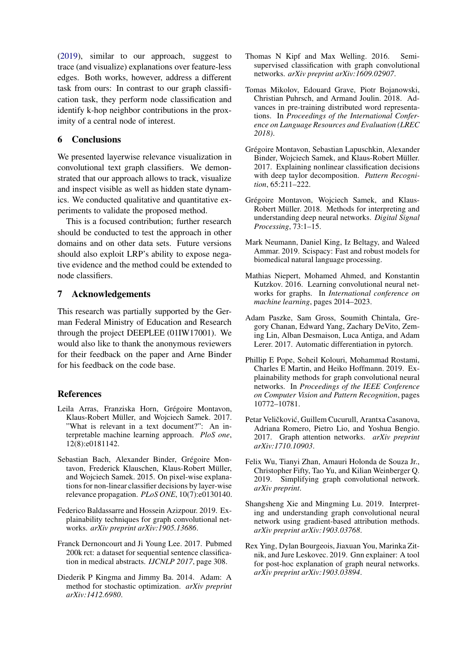[\(2019](#page-4-16)), similar to our approach, suggest to trace (and visualize) explanations over feature-less edges. Both works, however, address a different task from ours: In contrast to our graph classification task, they perform node classification and identify k-hop neighbor contributions in the proximity of a central node of interest.

## 6 Conclusions

We presented layerwise relevance visualization in convolutional text graph classifiers. We demonstrated that our approach allows to track, visualize and inspect visible as well as hidden state dynamics. We conducted qualitative and quantitative experiments to validate the proposed method.

This is a focused contribution; further research should be conducted to test the approach in other domains and on other data sets. Future versions should also exploit LRP's ability to expose negative evidence and the method could be extended to node classifiers.

## 7 Acknowledgements

This research was partially supported by the German Federal Ministry of Education and Research through the project DEEPLEE (01IW17001). We would also like to thank the anonymous reviewers for their feedback on the paper and Arne Binder for his feedback on the code base.

## References

- <span id="page-4-2"></span>Leila Arras, Franziska Horn, Grégoire Montavon, Klaus-Robert Müller, and Wojciech Samek. 2017. "What is relevant in a text document?": An interpretable machine learning approach. *PloS one*, 12(8):e0181142.
- <span id="page-4-1"></span>Sebastian Bach, Alexander Binder, Grégoire Montavon, Frederick Klauschen, Klaus-Robert Müller, and Wojciech Samek. 2015. On pixel-wise explanations for non-linear classifier decisions by layer-wise relevance propagation. *PLoS ONE*, 10(7):e0130140.
- <span id="page-4-16"></span>Federico Baldassarre and Hossein Azizpour. 2019. Explainability techniques for graph convolutional networks. *arXiv preprint arXiv:1905.13686*.
- <span id="page-4-6"></span>Franck Dernoncourt and Ji Young Lee. 2017. Pubmed 200k rct: a dataset for sequential sentence classification in medical abstracts. *IJCNLP 2017*, page 308.
- <span id="page-4-10"></span>Diederik P Kingma and Jimmy Ba. 2014. Adam: A method for stochastic optimization. *arXiv preprint arXiv:1412.6980*.
- <span id="page-4-3"></span>Thomas N Kipf and Max Welling. 2016. Semisupervised classification with graph convolutional networks. *arXiv preprint arXiv:1609.02907*.
- <span id="page-4-8"></span>Tomas Mikolov, Edouard Grave, Piotr Bojanowski, Christian Puhrsch, and Armand Joulin. 2018. Advances in pre-training distributed word representations. In *Proceedings of the International Conference on Language Resources and Evaluation (LREC 2018)*.
- <span id="page-4-4"></span>Grégoire Montavon, Sebastian Lapuschkin, Alexander Binder, Wojciech Samek, and Klaus-Robert Müller. 2017. Explaining nonlinear classification decisions with deep taylor decomposition. *Pattern Recognition*, 65:211–222.
- <span id="page-4-0"></span>Grégoire Montavon, Wojciech Samek, and Klaus-Robert Müller. 2018. Methods for interpreting and understanding deep neural networks. *Digital Signal Processing*, 73:1–15.
- <span id="page-4-7"></span>Mark Neumann, Daniel King, Iz Beltagy, and Waleed Ammar. 2019. Scispacy: Fast and robust models for biomedical natural language processing.
- <span id="page-4-11"></span>Mathias Niepert, Mohamed Ahmed, and Konstantin Kutzkov. 2016. Learning convolutional neural networks for graphs. In *International conference on machine learning*, pages 2014–2023.
- <span id="page-4-9"></span>Adam Paszke, Sam Gross, Soumith Chintala, Gregory Chanan, Edward Yang, Zachary DeVito, Zeming Lin, Alban Desmaison, Luca Antiga, and Adam Lerer. 2017. Automatic differentiation in pytorch.
- <span id="page-4-15"></span>Phillip E Pope, Soheil Kolouri, Mohammad Rostami, Charles E Martin, and Heiko Hoffmann. 2019. Explainability methods for graph convolutional neural networks. In *Proceedings of the IEEE Conference on Computer Vision and Pattern Recognition*, pages 10772–10781.
- <span id="page-4-13"></span>Petar Veličković, Guillem Cucurull, Arantxa Casanova, Adriana Romero, Pietro Lio, and Yoshua Bengio. 2017. Graph attention networks. *arXiv preprint arXiv:1710.10903*.
- <span id="page-4-12"></span>Felix Wu, Tianyi Zhan, Amauri Holonda de Souza Jr., Christopher Fifty, Tao Yu, and Kilian Weinberger Q. 2019. Simplifying graph convolutional network. *arXiv preprint*.
- <span id="page-4-5"></span>Shangsheng Xie and Mingming Lu. 2019. Interpreting and understanding graph convolutional neural network using gradient-based attribution methods. *arXiv preprint arXiv:1903.03768*.
- <span id="page-4-14"></span>Rex Ying, Dylan Bourgeois, Jiaxuan You, Marinka Zitnik, and Jure Leskovec. 2019. Gnn explainer: A tool for post-hoc explanation of graph neural networks. *arXiv preprint arXiv:1903.03894*.